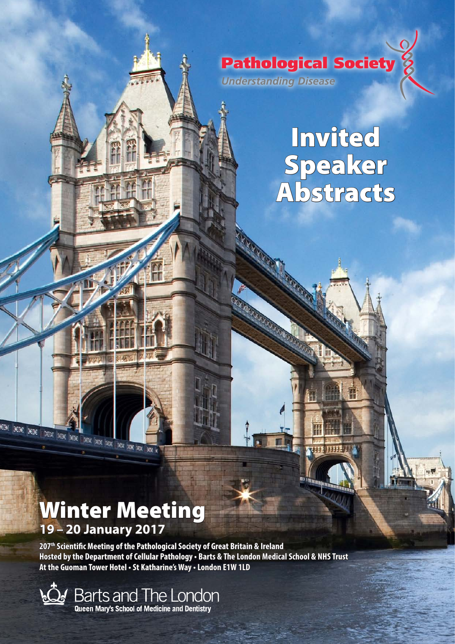

# Invited Speaker Abstracts

**THE THE .** 

# Winter Meeting **19 – 20 January 2017**

**AN XX XX XX XX XX** 

**207th Scientific Meeting of the Pathological Society of Great Britain & Ireland Hosted by the Department of Cellular Pathology • Barts & The London Medical School & NHS Trust At the Guoman Tower Hotel • St Katharine's Way • London E1W 1LD**

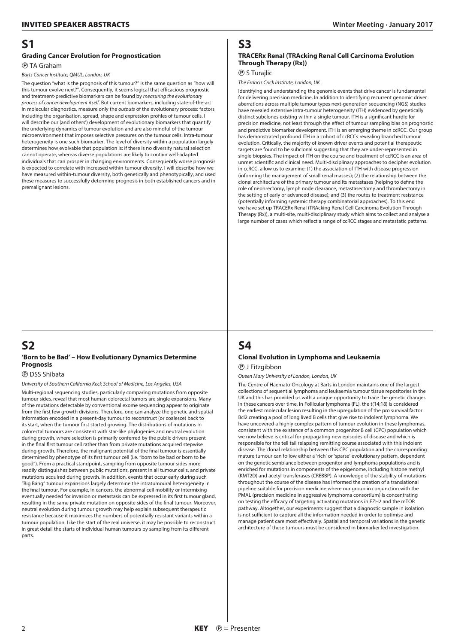## **S1**

#### **Grading Cancer Evolution for Prognostication**

P TA Graham

#### *Barts Cancer Institute, QMUL, London, UK*

The question "what is the prognosis of this tumour?" is the same question as "how will this tumour evolve next?". Consequently, it seems logical that efficacious prognostic and treatment-predictive biomarkers can be found by *measuring the evolutionary process of cancer development itself*. But current biomarkers, including state-of-the-art in molecular diagnostics, measure only the *outputs* of the evolutionary process: factors including the organisation, spread, shape and expression profiles of tumour cells. I will describe our (and others') development of evolutionary biomarkers that quantify the underlying dynamics of tumour evolution and are also mindful of the tumour microenvironment that imposes selective pressures on the tumour cells. Intra-tumour heterogeneity is one such biomarker. The level of diversity within a population largely determines how evolvable that population is: if there is no diversity natural selection cannot operate, whereas diverse populations are likely to contain well-adapted individuals that can prosper in changing environments. Consequently worse prognosis is expected to correlate with increased within-tumour diversity. I will describe how we have measured within-tumour diversity, both genetically and phenotypically, and used these measures to successfully determine prognosis in both established cancers and in premalignant lesions.

#### **S2 'Born to be Bad' – How Evolutionary Dynamics Determine Prognosis**

P DSS Shibata

#### *University of Southern California Keck School of Medicine, Los Angeles, USA*

Multi-regional sequencing studies, particularly comparing mutations from opposite tumour sides, reveal that most human colorectal tumors are single expansions. Many of the mutations detectable by conventional exome sequencing appear to originate from the first few growth divisions. Therefore, one can analyze the genetic and spatial information encoded in a present-day tumour to reconstruct (or coalesce) back to its start, when the tumour first started growing. The distributions of mutations in colorectal tumours are consistent with star-like phylogenies and neutral evolution during growth, where selection is primarily conferred by the public drivers present in the final first tumour cell rather than from private mutations acquired stepwise during growth. Therefore, the malignant potential of the final tumour is essentially determined by phenotype of its first tumour cell (i.e. "born to be bad or born to be good"). From a practical standpoint, sampling from opposite tumour sides more readily distinguishes between public mutations, present in all tumour cells, and private mutations acquired during growth. In addition, events that occur early during such "Big Bang" tumour expansions largely determine the intratumoural heterogeneity in the final tumour. For example, in cancers, the abnormal cell mobility or intermixing eventually needed for invasion or metastasis can be expressed in its first tumour gland, resulting in the same private mutation on opposite sides of the final tumour. Moreover, neutral evolution during tumour growth may help explain subsequent therapeutic resistance because it maximizes the numbers of potentially resistant variants within a tumour population. Like the start of the real universe, it may be possible to reconstruct in great detail the starts of individual human tumours by sampling from its different parts.

# **S3**

#### **TRACERx Renal (TRAcking Renal Cell Carcinoma Evolution Through Therapy (Rx))**

P S Turajlic

*The Francis Crick Institute, London, UK*

Identifying and understanding the genomic events that drive cancer is fundamental for delivering precision medicine. In addition to identifying recurrent genomic driver aberrations across multiple tumour types next-generation sequencing (NGS) studies have revealed extensive intra-tumour heterogeneity (ITH) evidenced by genetically distinct subclones existing within a single tumour. ITH is a significant hurdle for precision medicine, not least through the effect of tumour sampling bias on prognostic and predictive biomarker development. ITH is an emerging theme in ccRCC. Our group has demonstrated profound ITH in a cohort of ccRCCs revealing branched tumour evolution. Critically, the majority of known driver events and potential therapeutic targets are found to be subclonal suggesting that they are under-represented in single biopsies. The impact of ITH on the course and treatment of ccRCC is an area of unmet scientific and clinical need. Multi-disciplinary approaches to decipher evolution in ccRCC, allow us to examine: (1) the association of ITH with disease progression (informing the management of small renal masses); (2) the relationship between the clonal architecture of the primary tumour and its metastases (helping to define the role of nephrectomy, lymph node clearance, metastasectomy and thrombectomy in the setting of early or advanced disease); and (3) the routes to treatment resistance (potentially informing systemic therapy combinatorial approaches). To this end we have set up TRACERx Renal (TRAcking Renal Cell Carcinoma Evolution Through Therapy (Rx)), a multi-site, multi-disciplinary study which aims to collect and analyse a large number of cases which reflect a range of ccRCC stages and metastatic patterns.

# **S4**

#### **Clonal Evolution in Lymphoma and Leukaemia** P J Fitzgibbon

*Queen Mary University of London, London, UK*

The Centre of Haemato-Oncology at Barts in London maintains one of the largest collections of sequential lymphoma and leukaemia tumour tissue repositories in the UK and this has provided us with a unique opportunity to trace the genetic changes in these cancers over time. In Follicular lymphoma (FL), the t(14;18) is considered the earliest molecular lesion resulting in the upregulation of the pro survival factor Bcl2 creating a pool of long lived B cells that give rise to indolent lymphoma. We have uncovered a highly complex pattern of tumour evolution in these lymphomas, consistent with the existence of a common progenitor B cell (CPC) population which we now believe is critical for propagating new episodes of disease and which is responsible for the tell tail relapsing remitting course associated with this indolent disease. The clonal relationship between this CPC population and the corresponding mature tumour can follow either a 'rich' or 'sparse' evolutionary pattern, dependent on the genetic semblance between progenitor and lymphoma populations and is enriched for mutations in components of the epigenome, including histone methyl (KMT2D) and acetyl-transferases (CREBBP). A knowledge of the stability of mutations throughout the course of the disease has informed the creation of a translational pipeline suitable for precision medicine where our group in conjunction with the PMAL (precision medicine in aggressive lymphoma consortium) is concentrating on testing the efficacy of targeting activating mutations in EZH2 and the mTOR pathway. Altogether, our experiments suggest that a diagnostic sample in isolation is not sufficient to capture all the information needed in order to optimise and manage patient care most effectively. Spatial and temporal variations in the genetic architecture of these tumours must be considered in biomarker led investigation.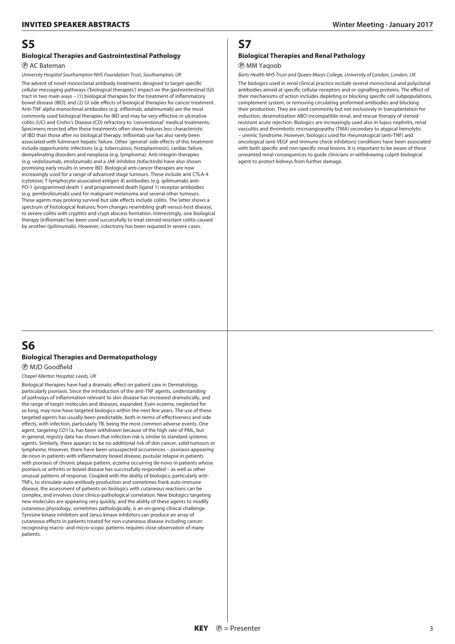### **S5**

#### **Biological Therapies and Gastrointestinal Pathology**

#### P AC Bateman

*University Hospital Southampton NHS Foundation Trust, Southampton, UK*

The advent of novel monoclonal antibody treatments designed to target specific cellular messaging pathways ('biological therapies') impact on the gastrointestinal (GI) tract in two main ways – (1) biological therapies for the treatment of inflammatory bowel disease (IBD); and (2) GI side effects of biological therapies for cancer treatment. Anti-TNF alpha monoclonal antibodies (e.g. infliximab, adalimumab) are the most commonly used biological therapies for IBD and may be very effective in ulcerative colitis (UC) and Crohn's Disease (CD) refractory to 'conventional' medical treatments. Specimens resected after these treatments often show features less characteristic of IBD than those after no biological therapy. Infliximab use has also rarely been associated with fulminant hepatic failure. Other 'general' side effects of this treatment include opportunistic infections (e.g. tuberculosis, histoplasmosis), cardiac failure, demyelinating disorders and neoplasia (e.g. lymphoma). Anti-integrin therapies (e.g. vedolizumab, etrolizumab) and a JAK inhibitor (tofacitinib) have also shown promising early results in severe IBD. Biological anti-cancer therapies are now increasingly used for a range of advanced stage tumours. These include anti CTLA-4 (cytotoxic T-lymphocyte-associated antigen 4) antibodies (e.g. ipilimumab) anti-PD-1 (programmed death 1 and programmed death ligand 1) receptor antibodies (e.g. pembrolizumab) used for malignant melanoma and several other tumours. These agents may prolong survival but side effects include colitis. The latter shows a spectrum of histological features; from changes resembling graft-versus-host disease, to severe colitis with cryptitis and crypt abscess formation. Interestingly, one biological therapy (infliximab) has been used successfully to treat steroid-resistant colitis caused by another (ipilimumab). However, colectomy has been required in severe cases.

# **S7 Biological Therapies and Renal Pathology**

#### P MM Yaqoob

*Barts Health NHS Trust and Queen Marys College, University of London, London, UK*

The biologics used in renal clinical practice include several monoclonal and polyclonal antibodies aimed at specific cellular receptors and or signalling proteins. The effect of their mechanisms of action includes depleting or blocking specific cell subpopulations, complement system, or removing circulating preformed antibodies and blocking their production. They are used commonly but not exclusively in transplantation for induction, desensitization ABO-incompatible renal, and rescue therapy of steroidresistant acute rejection. Biologics are increasingly used also in lupus nephritis, renal vasculitis and thrombotic microangiopathy (TMA) secondary to atypical hemolytic – uremic Syndrome. However, biologics used for rheumatogical (anti-TNF) and oncological (anti VEGF and Immune check inhibitors) conditions have been associated with both specific and non-specific renal lesions. It is important to be aware of these unwanted renal consequences to guide clinicians in withdrawing culprit biological agent to protect kidneys from further damage.

## **S6 Biological Therapies and Dermatopathology**

P MJD Goodfield

*Chapel Allerton Hospital, Leeds, UK*

Biological therapies have had a dramatic effect on patient care in Dermatology, particularly psoriasis. Since the introduction of the anti-TNF agents, understanding of pathways of inflammation relevant to skin disease has increased dramatically, and the range of target molecules and diseases, expanded. Even eczema, neglected for so long, may now have targeted biologics within the next few years. The use of these targeted agents has usually been predictable, both in terms of effectiveness and side effects, with infection, particularly TB, being the most common adverse events. One agent, targeting CD11a, has been withdrawn because of the high rate of PML, but in general, registry data has shown that infection risk is similar to standard systemic agents. Similarly, there appears to be no additional risk of skin cancer, solid tumours or lymphoma. However, there have been unsuspected occurrences – psoriasis appearing de-novo in patients with inflammatory bowel disease, pustular relapse in patients with psoriasis of chronic plaque pattern, eczema occurring de-novo in patients whose psoriasis or arthritis or bowel disease has successfully responded – as well as other unusual patterns of response. Coupled with the ability of biologics, particularly anti-TNFs, to stimulate auto-antibody production and sometimes frank auto-immune disease, the assessment of patients on biologics with cutaneous reactions can be complex, and involves close clinico-pathological correlation. New biologics targeting new molecules are appearing very quickly, and the ability of these agents to modify cutaneous physiology, sometimes pathologically, is an on-going clinical challenge. Tyrosine kinase inhibitors and Janus kinase inhibitors can produce an array of cutaneous effects in patients treated for non-cutaneous disease including cancer: recognising macro- and micro-scopic patterns requires close observation of many patients.